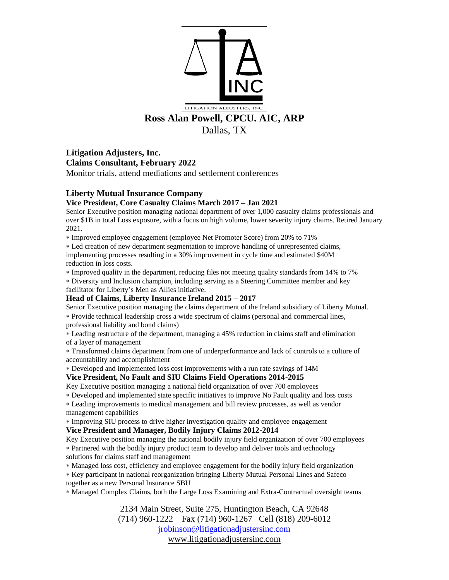

**Litigation Adjusters, Inc. Claims Consultant, February 2022** Monitor trials, attend mediations and settlement conferences

# **Liberty Mutual Insurance Company**

## **Vice President, Core Casualty Claims March 2017 – Jan 2021**

Senior Executive position managing national department of over 1,000 casualty claims professionals and over \$1B in total Loss exposure, with a focus on high volume, lower severity injury claims. Retired January 2021.

Improved employee engagement (employee Net Promoter Score) from 20% to 71%

 Led creation of new department segmentation to improve handling of unrepresented claims, implementing processes resulting in a 30% improvement in cycle time and estimated \$40M reduction in loss costs.

Improved quality in the department, reducing files not meeting quality standards from 14% to 7%

 Diversity and Inclusion champion, including serving as a Steering Committee member and key facilitator for Liberty's Men as Allies initiative.

## **Head of Claims, Liberty Insurance Ireland 2015 – 2017**

Senior Executive position managing the claims department of the Ireland subsidiary of Liberty Mutual. Provide technical leadership cross a wide spectrum of claims (personal and commercial lines, professional liability and bond claims)

 Leading restructure of the department, managing a 45% reduction in claims staff and elimination of a layer of management

 Transformed claims department from one of underperformance and lack of controls to a culture of accountability and accomplishment

Developed and implemented loss cost improvements with a run rate savings of 14M

## **Vice President, No Fault and SIU Claims Field Operations 2014-2015**

Key Executive position managing a national field organization of over 700 employees

Developed and implemented state specific initiatives to improve No Fault quality and loss costs

 Leading improvements to medical management and bill review processes, as well as vendor management capabilities

Improving SIU process to drive higher investigation quality and employee engagement

## **Vice President and Manager, Bodily Injury Claims 2012-2014**

Key Executive position managing the national bodily injury field organization of over 700 employees Partnered with the bodily injury product team to develop and deliver tools and technology solutions for claims staff and management

Managed loss cost, efficiency and employee engagement for the bodily injury field organization

Key participant in national reorganization bringing Liberty Mutual Personal Lines and Safeco

together as a new Personal Insurance SBU

Managed Complex Claims, both the Large Loss Examining and Extra-Contractual oversight teams

2134 Main Street, Suite 275, Huntington Beach, CA 92648 (714) 960-1222 Fax (714) 960-1267 Cell (818) 209-6012 [jrobinson@litigationadjustersinc.com](mailto:jrobinson@litigationadjustersinc.com) www.litigationadjustersinc.com